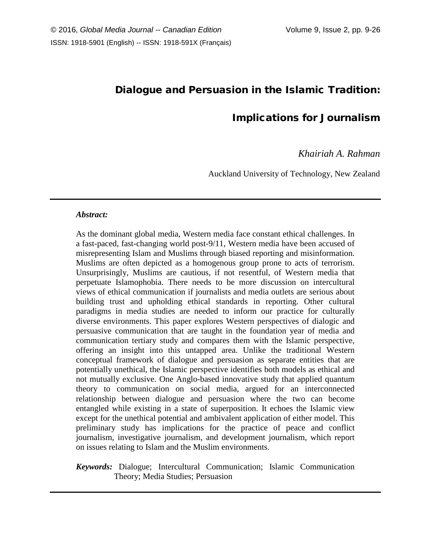# Dialogue and Persuasion in the Islamic Tradition:

## Implications for Journalism

## *Khairiah A. Rahman*

Auckland University of Technology, New Zealand

#### *Abstract:*

As the dominant global media, Western media face constant ethical challenges. In a fast-paced, fast-changing world post-9/11, Western media have been accused of misrepresenting Islam and Muslims through biased reporting and misinformation. Muslims are often depicted as a homogenous group prone to acts of terrorism. Unsurprisingly, Muslims are cautious, if not resentful, of Western media that perpetuate Islamophobia. There needs to be more discussion on intercultural views of ethical communication if journalists and media outlets are serious about building trust and upholding ethical standards in reporting. Other cultural paradigms in media studies are needed to inform our practice for culturally diverse environments. This paper explores Western perspectives of dialogic and persuasive communication that are taught in the foundation year of media and communication tertiary study and compares them with the Islamic perspective, offering an insight into this untapped area. Unlike the traditional Western conceptual framework of dialogue and persuasion as separate entities that are potentially unethical, the Islamic perspective identifies both models as ethical and not mutually exclusive. One Anglo-based innovative study that applied quantum theory to communication on social media, argued for an interconnected relationship between dialogue and persuasion where the two can become entangled while existing in a state of superposition. It echoes the Islamic view except for the unethical potential and ambivalent application of either model. This preliminary study has implications for the practice of peace and conflict journalism, investigative journalism, and development journalism, which report on issues relating to Islam and the Muslim environments.

## *Keywords:* Dialogue; Intercultural Communication; Islamic Communication Theory; Media Studies; Persuasion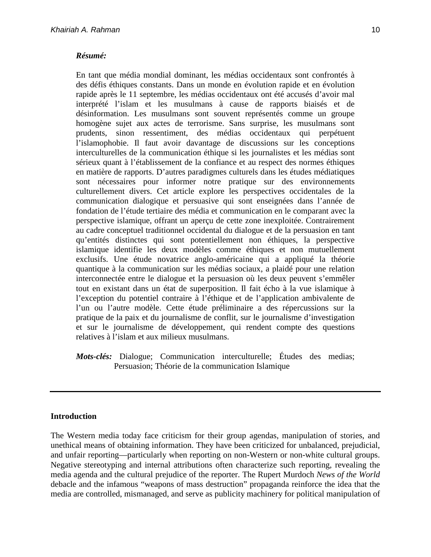### *Résumé:*

En tant que média mondial dominant, les médias occidentaux sont confrontés à des défis éthiques constants. Dans un monde en évolution rapide et en évolution rapide après le 11 septembre, les médias occidentaux ont été accusés d'avoir mal interprété l'islam et les musulmans à cause de rapports biaisés et de désinformation. Les musulmans sont souvent représentés comme un groupe homogène sujet aux actes de terrorisme. Sans surprise, les musulmans sont prudents, sinon ressentiment, des médias occidentaux qui perpétuent l'islamophobie. Il faut avoir davantage de discussions sur les conceptions interculturelles de la communication éthique si les journalistes et les médias sont sérieux quant à l'établissement de la confiance et au respect des normes éthiques en matière de rapports. D'autres paradigmes culturels dans les études médiatiques sont nécessaires pour informer notre pratique sur des environnements culturellement divers. Cet article explore les perspectives occidentales de la communication dialogique et persuasive qui sont enseignées dans l'année de fondation de l'étude tertiaire des média et communication en le comparant avec la perspective islamique, offrant un aperçu de cette zone inexploitée. Contrairement au cadre conceptuel traditionnel occidental du dialogue et de la persuasion en tant qu'entités distinctes qui sont potentiellement non éthiques, la perspective islamique identifie les deux modèles comme éthiques et non mutuellement exclusifs. Une étude novatrice anglo-américaine qui a appliqué la théorie quantique à la communication sur les médias sociaux, a plaidé pour une relation interconnectée entre le dialogue et la persuasion où les deux peuvent s'emmêler tout en existant dans un état de superposition. Il fait écho à la vue islamique à l'exception du potentiel contraire à l'éthique et de l'application ambivalente de l'un ou l'autre modèle. Cette étude préliminaire a des répercussions sur la pratique de la paix et du journalisme de conflit, sur le journalisme d'investigation et sur le journalisme de développement, qui rendent compte des questions relatives à l'islam et aux milieux musulmans.

*Mots-clés:* Dialogue; Communication interculturelle; Études des medias; Persuasion; Théorie de la communication Islamique

#### **Introduction**

The Western media today face criticism for their group agendas, manipulation of stories, and unethical means of obtaining information. They have been criticized for unbalanced, prejudicial, and unfair reporting—particularly when reporting on non-Western or non-white cultural groups. Negative stereotyping and internal attributions often characterize such reporting, revealing the media agenda and the cultural prejudice of the reporter. The Rupert Murdoch *News of the World* debacle and the infamous "weapons of mass destruction" propaganda reinforce the idea that the media are controlled, mismanaged, and serve as publicity machinery for political manipulation of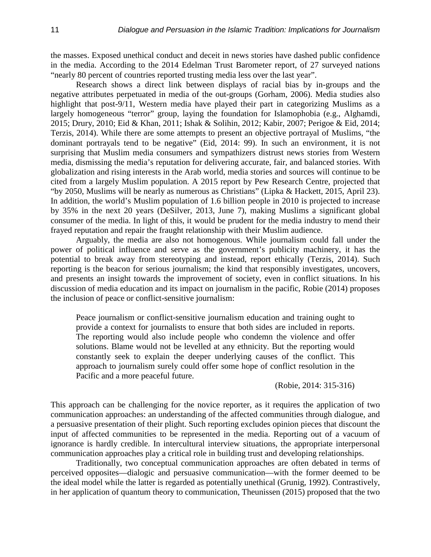the masses. Exposed unethical conduct and deceit in news stories have dashed public confidence in the media. According to the 2014 Edelman Trust Barometer report, of 27 surveyed nations "nearly 80 percent of countries reported trusting media less over the last year".

Research shows a direct link between displays of racial bias by in-groups and the negative attributes perpetuated in media of the out-groups (Gorham, 2006). Media studies also highlight that post-9/11, Western media have played their part in categorizing Muslims as a largely homogeneous "terror" group, laying the foundation for Islamophobia (e.g., Alghamdi, 2015; Drury, 2010; Eid & Khan, 2011; Ishak & Solihin, 2012; Kabir, 2007; Perigoe & Eid, 2014; Terzis, 2014). While there are some attempts to present an objective portrayal of Muslims, "the dominant portrayals tend to be negative" (Eid, 2014: 99). In such an environment, it is not surprising that Muslim media consumers and sympathizers distrust news stories from Western media, dismissing the media's reputation for delivering accurate, fair, and balanced stories. With globalization and rising interests in the Arab world, media stories and sources will continue to be cited from a largely Muslim population. A 2015 report by Pew Research Centre, projected that "by 2050, Muslims will be nearly as numerous as Christians" (Lipka & Hackett, 2015, April 23). In addition, the world's Muslim population of 1.6 billion people in 2010 is projected to increase by 35% in the next 20 years (DeSilver, 2013, June 7), making Muslims a significant global consumer of the media. In light of this, it would be prudent for the media industry to mend their frayed reputation and repair the fraught relationship with their Muslim audience.

Arguably, the media are also not homogenous. While journalism could fall under the power of political influence and serve as the government's publicity machinery, it has the potential to break away from stereotyping and instead, report ethically (Terzis, 2014). Such reporting is the beacon for serious journalism; the kind that responsibly investigates, uncovers, and presents an insight towards the improvement of society, even in conflict situations. In his discussion of media education and its impact on journalism in the pacific, Robie (2014) proposes the inclusion of peace or conflict-sensitive journalism:

Peace journalism or conflict-sensitive journalism education and training ought to provide a context for journalists to ensure that both sides are included in reports. The reporting would also include people who condemn the violence and offer solutions. Blame would not be levelled at any ethnicity. But the reporting would constantly seek to explain the deeper underlying causes of the conflict. This approach to journalism surely could offer some hope of conflict resolution in the Pacific and a more peaceful future.

(Robie, 2014: 315-316)

This approach can be challenging for the novice reporter, as it requires the application of two communication approaches: an understanding of the affected communities through dialogue, and a persuasive presentation of their plight. Such reporting excludes opinion pieces that discount the input of affected communities to be represented in the media. Reporting out of a vacuum of ignorance is hardly credible. In intercultural interview situations, the appropriate interpersonal communication approaches play a critical role in building trust and developing relationships.

Traditionally, two conceptual communication approaches are often debated in terms of perceived opposites—dialogic and persuasive communication—with the former deemed to be the ideal model while the latter is regarded as potentially unethical (Grunig, 1992). Contrastively, in her application of quantum theory to communication, Theunissen (2015) proposed that the two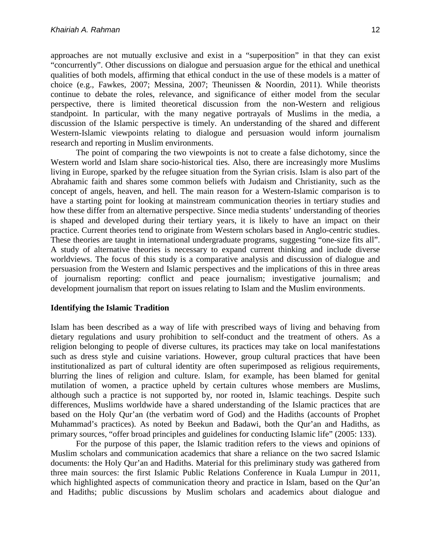approaches are not mutually exclusive and exist in a "superposition" in that they can exist "concurrently". Other discussions on dialogue and persuasion argue for the ethical and unethical qualities of both models, affirming that ethical conduct in the use of these models is a matter of choice (e.g., Fawkes, 2007; Messina, 2007; Theunissen & Noordin, 2011). While theorists continue to debate the roles, relevance, and significance of either model from the secular perspective, there is limited theoretical discussion from the non-Western and religious standpoint. In particular, with the many negative portrayals of Muslims in the media, a discussion of the Islamic perspective is timely. An understanding of the shared and different Western-Islamic viewpoints relating to dialogue and persuasion would inform journalism research and reporting in Muslim environments.

The point of comparing the two viewpoints is not to create a false dichotomy, since the Western world and Islam share socio-historical ties. Also, there are increasingly more Muslims living in Europe, sparked by the refugee situation from the Syrian crisis. Islam is also part of the Abrahamic faith and shares some common beliefs with Judaism and Christianity, such as the concept of angels, heaven, and hell. The main reason for a Western-Islamic comparison is to have a starting point for looking at mainstream communication theories in tertiary studies and how these differ from an alternative perspective. Since media students' understanding of theories is shaped and developed during their tertiary years, it is likely to have an impact on their practice. Current theories tend to originate from Western scholars based in Anglo-centric studies. These theories are taught in international undergraduate programs, suggesting "one-size fits all". A study of alternative theories is necessary to expand current thinking and include diverse worldviews. The focus of this study is a comparative analysis and discussion of dialogue and persuasion from the Western and Islamic perspectives and the implications of this in three areas of journalism reporting: conflict and peace journalism; investigative journalism; and development journalism that report on issues relating to Islam and the Muslim environments.

## **Identifying the Islamic Tradition**

Islam has been described as a way of life with prescribed ways of living and behaving from dietary regulations and usury prohibition to self-conduct and the treatment of others. As a religion belonging to people of diverse cultures, its practices may take on local manifestations such as dress style and cuisine variations. However, group cultural practices that have been institutionalized as part of cultural identity are often superimposed as religious requirements, blurring the lines of religion and culture. Islam, for example, has been blamed for genital mutilation of women, a practice upheld by certain cultures whose members are Muslims, although such a practice is not supported by, nor rooted in, Islamic teachings. Despite such differences, Muslims worldwide have a shared understanding of the Islamic practices that are based on the Holy Qur'an (the verbatim word of God) and the Hadiths (accounts of Prophet Muhammad's practices). As noted by Beekun and Badawi, both the Qur'an and Hadiths, as primary sources, "offer broad principles and guidelines for conducting Islamic life" (2005: 133).

For the purpose of this paper, the Islamic tradition refers to the views and opinions of Muslim scholars and communication academics that share a reliance on the two sacred Islamic documents: the Holy Qur'an and Hadiths. Material for this preliminary study was gathered from three main sources: the first Islamic Public Relations Conference in Kuala Lumpur in 2011, which highlighted aspects of communication theory and practice in Islam, based on the Qur'an and Hadiths; public discussions by Muslim scholars and academics about dialogue and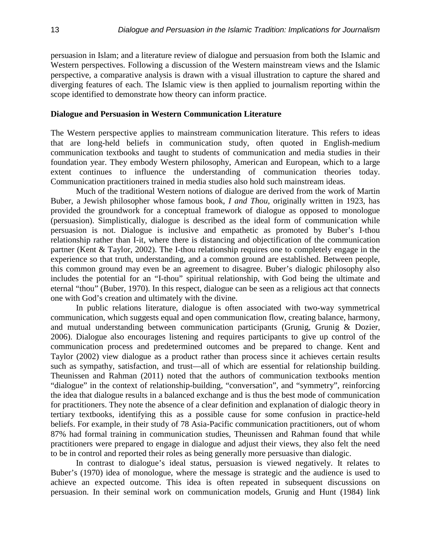persuasion in Islam; and a literature review of dialogue and persuasion from both the Islamic and Western perspectives. Following a discussion of the Western mainstream views and the Islamic perspective, a comparative analysis is drawn with a visual illustration to capture the shared and diverging features of each. The Islamic view is then applied to journalism reporting within the scope identified to demonstrate how theory can inform practice.

#### **Dialogue and Persuasion in Western Communication Literature**

The Western perspective applies to mainstream communication literature. This refers to ideas that are long-held beliefs in communication study, often quoted in English-medium communication textbooks and taught to students of communication and media studies in their foundation year. They embody Western philosophy, American and European, which to a large extent continues to influence the understanding of communication theories today. Communication practitioners trained in media studies also hold such mainstream ideas.

Much of the traditional Western notions of dialogue are derived from the work of Martin Buber, a Jewish philosopher whose famous book, *I and Thou*, originally written in 1923, has provided the groundwork for a conceptual framework of dialogue as opposed to monologue (persuasion). Simplistically, dialogue is described as the ideal form of communication while persuasion is not. Dialogue is inclusive and empathetic as promoted by Buber's I-thou relationship rather than I-it, where there is distancing and objectification of the communication partner (Kent & Taylor, 2002). The I-thou relationship requires one to completely engage in the experience so that truth, understanding, and a common ground are established. Between people, this common ground may even be an agreement to disagree. Buber's dialogic philosophy also includes the potential for an "I-thou" spiritual relationship, with God being the ultimate and eternal "thou" (Buber, 1970). In this respect, dialogue can be seen as a religious act that connects one with God's creation and ultimately with the divine.

In public relations literature, dialogue is often associated with two-way symmetrical communication, which suggests equal and open communication flow, creating balance, harmony, and mutual understanding between communication participants (Grunig, Grunig & Dozier, 2006). Dialogue also encourages listening and requires participants to give up control of the communication process and predetermined outcomes and be prepared to change. Kent and Taylor (2002) view dialogue as a product rather than process since it achieves certain results such as sympathy, satisfaction, and trust—all of which are essential for relationship building. Theunissen and Rahman (2011) noted that the authors of communication textbooks mention "dialogue" in the context of relationship-building, "conversation", and "symmetry", reinforcing the idea that dialogue results in a balanced exchange and is thus the best mode of communication for practitioners. They note the absence of a clear definition and explanation of dialogic theory in tertiary textbooks, identifying this as a possible cause for some confusion in practice-held beliefs. For example, in their study of 78 Asia-Pacific communication practitioners, out of whom 87% had formal training in communication studies, Theunissen and Rahman found that while practitioners were prepared to engage in dialogue and adjust their views, they also felt the need to be in control and reported their roles as being generally more persuasive than dialogic.

In contrast to dialogue's ideal status, persuasion is viewed negatively. It relates to Buber's (1970) idea of monologue, where the message is strategic and the audience is used to achieve an expected outcome. This idea is often repeated in subsequent discussions on persuasion. In their seminal work on communication models, Grunig and Hunt (1984) link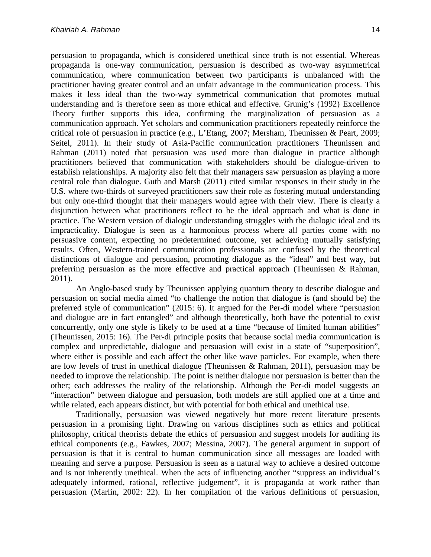persuasion to propaganda, which is considered unethical since truth is not essential. Whereas propaganda is one-way communication, persuasion is described as two-way asymmetrical communication, where communication between two participants is unbalanced with the practitioner having greater control and an unfair advantage in the communication process. This makes it less ideal than the two-way symmetrical communication that promotes mutual understanding and is therefore seen as more ethical and effective. Grunig's (1992) Excellence Theory further supports this idea, confirming the marginalization of persuasion as a communication approach. Yet scholars and communication practitioners repeatedly reinforce the critical role of persuasion in practice (e.g., L'Etang, 2007; Mersham, Theunissen & Peart, 2009; Seitel, 2011). In their study of Asia-Pacific communication practitioners Theunissen and Rahman (2011) noted that persuasion was used more than dialogue in practice although practitioners believed that communication with stakeholders should be dialogue-driven to establish relationships. A majority also felt that their managers saw persuasion as playing a more central role than dialogue. Guth and Marsh (2011) cited similar responses in their study in the U.S. where two-thirds of surveyed practitioners saw their role as fostering mutual understanding but only one-third thought that their managers would agree with their view. There is clearly a disjunction between what practitioners reflect to be the ideal approach and what is done in practice. The Western version of dialogic understanding struggles with the dialogic ideal and its impracticality. Dialogue is seen as a harmonious process where all parties come with no persuasive content, expecting no predetermined outcome, yet achieving mutually satisfying results. Often, Western-trained communication professionals are confused by the theoretical distinctions of dialogue and persuasion, promoting dialogue as the "ideal" and best way, but preferring persuasion as the more effective and practical approach (Theunissen & Rahman, 2011).

An Anglo-based study by Theunissen applying quantum theory to describe dialogue and persuasion on social media aimed "to challenge the notion that dialogue is (and should be) the preferred style of communication" (2015: 6). It argued for the Per-di model where "persuasion and dialogue are in fact entangled" and although theoretically, both have the potential to exist concurrently, only one style is likely to be used at a time "because of limited human abilities" (Theunissen, 2015: 16). The Per-di principle posits that because social media communication is complex and unpredictable, dialogue and persuasion will exist in a state of "superposition", where either is possible and each affect the other like wave particles. For example, when there are low levels of trust in unethical dialogue (Theunissen & Rahman, 2011), persuasion may be needed to improve the relationship. The point is neither dialogue nor persuasion is better than the other; each addresses the reality of the relationship. Although the Per-di model suggests an "interaction" between dialogue and persuasion, both models are still applied one at a time and while related, each appears distinct, but with potential for both ethical and unethical use.

Traditionally, persuasion was viewed negatively but more recent literature presents persuasion in a promising light. Drawing on various disciplines such as ethics and political philosophy, critical theorists debate the ethics of persuasion and suggest models for auditing its ethical components (e.g., Fawkes, 2007; Messina, 2007). The general argument in support of persuasion is that it is central to human communication since all messages are loaded with meaning and serve a purpose. Persuasion is seen as a natural way to achieve a desired outcome and is not inherently unethical. When the acts of influencing another "suppress an individual's adequately informed, rational, reflective judgement", it is propaganda at work rather than persuasion (Marlin, 2002: 22). In her compilation of the various definitions of persuasion,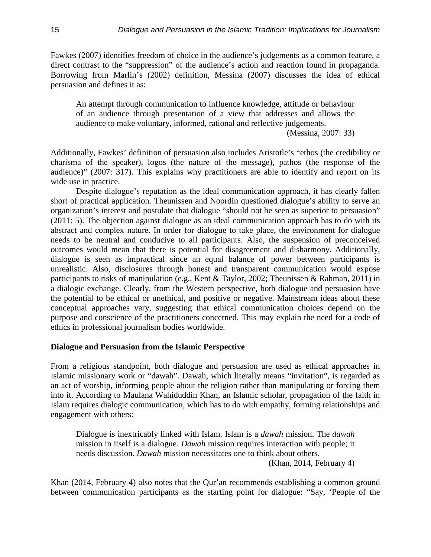Fawkes (2007) identifies freedom of choice in the audience's judgements as a common feature, a direct contrast to the "suppression" of the audience's action and reaction found in propaganda. Borrowing from Marlin's (2002) definition, Messina (2007) discusses the idea of ethical persuasion and defines it as:

An attempt through communication to influence knowledge, attitude or behaviour of an audience through presentation of a view that addresses and allows the audience to make voluntary, informed, rational and reflective judgements.

(Messina, 2007: 33)

Additionally, Fawkes' definition of persuasion also includes Aristotle's "ethos (the credibility or charisma of the speaker), logos (the nature of the message), pathos (the response of the audience)" (2007: 317). This explains why practitioners are able to identify and report on its wide use in practice.

Despite dialogue's reputation as the ideal communication approach, it has clearly fallen short of practical application. Theunissen and Noordin questioned dialogue's ability to serve an organization's interest and postulate that dialogue "should not be seen as superior to persuasion" (2011: 5). The objection against dialogue as an ideal communication approach has to do with its abstract and complex nature. In order for dialogue to take place, the environment for dialogue needs to be neutral and conducive to all participants. Also, the suspension of preconceived outcomes would mean that there is potential for disagreement and disharmony. Additionally, dialogue is seen as impractical since an equal balance of power between participants is unrealistic. Also, disclosures through honest and transparent communication would expose participants to risks of manipulation (e.g., Kent & Taylor, 2002; Theunissen & Rahman, 2011) in a dialogic exchange. Clearly, from the Western perspective, both dialogue and persuasion have the potential to be ethical or unethical, and positive or negative. Mainstream ideas about these conceptual approaches vary, suggesting that ethical communication choices depend on the purpose and conscience of the practitioners concerned. This may explain the need for a code of ethics in professional journalism bodies worldwide.

## **Dialogue and Persuasion from the Islamic Perspective**

From a religious standpoint, both dialogue and persuasion are used as ethical approaches in Islamic missionary work or "dawah". Dawah, which literally means "invitation", is regarded as an act of worship, informing people about the religion rather than manipulating or forcing them into it. According to Maulana Wahiduddin Khan, an Islamic scholar, propagation of the faith in Islam requires dialogic communication, which has to do with empathy, forming relationships and engagement with others:

Dialogue is inextricably linked with Islam. Islam is a *dawah* mission. The *dawah* mission in itself is a dialogue. *Dawah* mission requires interaction with people; it needs discussion. *Dawah* mission necessitates one to think about others. (Khan, 2014, February 4)

Khan (2014, February 4) also notes that the Qur'an recommends establishing a common ground between communication participants as the starting point for dialogue: "Say, 'People of the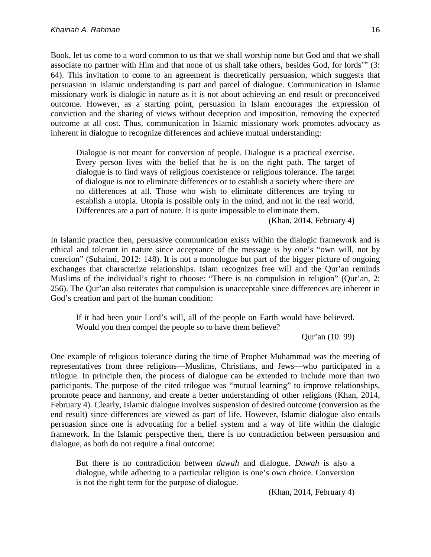Book, let us come to a word common to us that we shall worship none but God and that we shall associate no partner with Him and that none of us shall take others, besides God, for lords'" (3: 64). This invitation to come to an agreement is theoretically persuasion, which suggests that persuasion in Islamic understanding is part and parcel of dialogue. Communication in Islamic missionary work is dialogic in nature as it is not about achieving an end result or preconceived outcome. However, as a starting point, persuasion in Islam encourages the expression of conviction and the sharing of views without deception and imposition, removing the expected outcome at all cost. Thus, communication in Islamic missionary work promotes advocacy as inherent in dialogue to recognize differences and achieve mutual understanding:

Dialogue is not meant for conversion of people. Dialogue is a practical exercise. Every person lives with the belief that he is on the right path. The target of dialogue is to find ways of religious coexistence or religious tolerance. The target of dialogue is not to eliminate differences or to establish a society where there are no differences at all. Those who wish to eliminate differences are trying to establish a utopia. Utopia is possible only in the mind, and not in the real world. Differences are a part of nature. It is quite impossible to eliminate them.

(Khan, 2014, February 4)

In Islamic practice then, persuasive communication exists within the dialogic framework and is ethical and tolerant in nature since acceptance of the message is by one's "own will, not by coercion" (Suhaimi, 2012: 148). It is not a monologue but part of the bigger picture of ongoing exchanges that characterize relationships. Islam recognizes free will and the Qur'an reminds Muslims of the individual's right to choose: "There is no compulsion in religion" (Qur'an, 2: 256). The Qur'an also reiterates that compulsion is unacceptable since differences are inherent in God's creation and part of the human condition:

If it had been your Lord's will, all of the people on Earth would have believed. Would you then compel the people so to have them believe?

Qur'an (10: 99)

One example of religious tolerance during the time of Prophet Muhammad was the meeting of representatives from three religions—Muslims, Christians, and Jews—who participated in a trilogue. In principle then, the process of dialogue can be extended to include more than two participants. The purpose of the cited trilogue was "mutual learning" to improve relationships, promote peace and harmony, and create a better understanding of other religions (Khan, 2014, February 4). Clearly, Islamic dialogue involves suspension of desired outcome (conversion as the end result) since differences are viewed as part of life. However, Islamic dialogue also entails persuasion since one is advocating for a belief system and a way of life within the dialogic framework. In the Islamic perspective then, there is no contradiction between persuasion and dialogue, as both do not require a final outcome:

But there is no contradiction between *dawah* and dialogue. *Dawah* is also a dialogue, while adhering to a particular religion is one's own choice. Conversion is not the right term for the purpose of dialogue.

(Khan, 2014, February 4)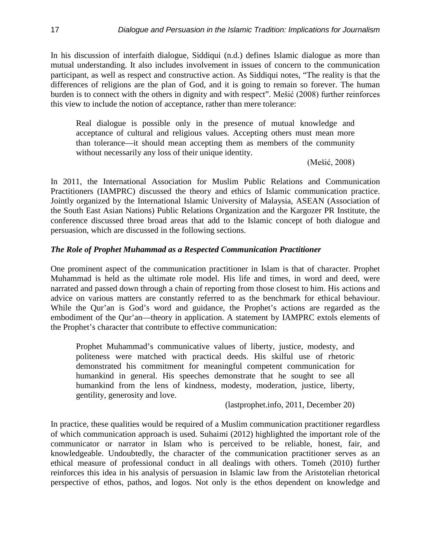In his discussion of interfaith dialogue, Siddiqui (n.d.) defines Islamic dialogue as more than mutual understanding. It also includes involvement in issues of concern to the communication participant, as well as respect and constructive action. As Siddiqui notes, "The reality is that the differences of religions are the plan of God, and it is going to remain so forever. The human burden is to connect with the others in dignity and with respect". Mešić (2008) further reinforces this view to include the notion of acceptance, rather than mere tolerance:

Real dialogue is possible only in the presence of mutual knowledge and acceptance of cultural and religious values. Accepting others must mean more than tolerance—it should mean accepting them as members of the community without necessarily any loss of their unique identity.

(Mešić, 2008)

In 2011, the International Association for Muslim Public Relations and Communication Practitioners (IAMPRC) discussed the theory and ethics of Islamic communication practice. Jointly organized by the International Islamic University of Malaysia, ASEAN (Association of the South East Asian Nations) Public Relations Organization and the Kargozer PR Institute, the conference discussed three broad areas that add to the Islamic concept of both dialogue and persuasion, which are discussed in the following sections.

## *The Role of Prophet Muhammad as a Respected Communication Practitioner*

One prominent aspect of the communication practitioner in Islam is that of character. Prophet Muhammad is held as the ultimate role model. His life and times, in word and deed, were narrated and passed down through a chain of reporting from those closest to him. His actions and advice on various matters are constantly referred to as the benchmark for ethical behaviour. While the Qur'an is God's word and guidance, the Prophet's actions are regarded as the embodiment of the Qur'an—theory in application. A statement by IAMPRC extols elements of the Prophet's character that contribute to effective communication:

Prophet Muhammad's communicative values of liberty, justice, modesty, and politeness were matched with practical deeds. His skilful use of rhetoric demonstrated his commitment for meaningful competent communication for humankind in general. His speeches demonstrate that he sought to see all humankind from the lens of kindness, modesty, moderation, justice, liberty, gentility, generosity and love.

(lastprophet.info, 2011, December 20)

In practice, these qualities would be required of a Muslim communication practitioner regardless of which communication approach is used. Suhaimi (2012) highlighted the important role of the communicator or narrator in Islam who is perceived to be reliable, honest, fair, and knowledgeable. Undoubtedly, the character of the communication practitioner serves as an ethical measure of professional conduct in all dealings with others. Tomeh (2010) further reinforces this idea in his analysis of persuasion in Islamic law from the Aristotelian rhetorical perspective of ethos, pathos, and logos. Not only is the ethos dependent on knowledge and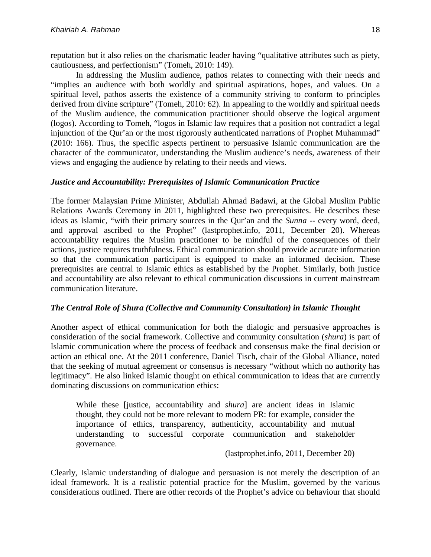reputation but it also relies on the charismatic leader having "qualitative attributes such as piety, cautiousness, and perfectionism" (Tomeh, 2010: 149).

In addressing the Muslim audience, pathos relates to connecting with their needs and "implies an audience with both worldly and spiritual aspirations, hopes, and values. On a spiritual level, pathos asserts the existence of a community striving to conform to principles derived from divine scripture" (Tomeh, 2010: 62). In appealing to the worldly and spiritual needs of the Muslim audience, the communication practitioner should observe the logical argument (logos). According to Tomeh, "logos in Islamic law requires that a position not contradict a legal injunction of the Qur'an or the most rigorously authenticated narrations of Prophet Muhammad" (2010: 166). Thus, the specific aspects pertinent to persuasive Islamic communication are the character of the communicator, understanding the Muslim audience's needs, awareness of their views and engaging the audience by relating to their needs and views.

## *Justice and Accountability: Prerequisites of Islamic Communication Practice*

The former Malaysian Prime Minister, Abdullah Ahmad Badawi, at the Global Muslim Public Relations Awards Ceremony in 2011, highlighted these two prerequisites. He describes these ideas as Islamic, "with their primary sources in the Qur'an and the *Sunna* -- every word, deed, and approval ascribed to the Prophet" (lastprophet.info, 2011, December 20). Whereas accountability requires the Muslim practitioner to be mindful of the consequences of their actions, justice requires truthfulness. Ethical communication should provide accurate information so that the communication participant is equipped to make an informed decision. These prerequisites are central to Islamic ethics as established by the Prophet. Similarly, both justice and accountability are also relevant to ethical communication discussions in current mainstream communication literature.

## *The Central Role of Shura (Collective and Community Consultation) in Islamic Thought*

Another aspect of ethical communication for both the dialogic and persuasive approaches is consideration of the social framework. Collective and community consultation (*shura*) is part of Islamic communication where the process of feedback and consensus make the final decision or action an ethical one. At the 2011 conference, Daniel Tisch, chair of the Global Alliance, noted that the seeking of mutual agreement or consensus is necessary "without which no authority has legitimacy". He also linked Islamic thought on ethical communication to ideas that are currently dominating discussions on communication ethics:

While these [justice, accountability and *shura*] are ancient ideas in Islamic thought, they could not be more relevant to modern PR: for example, consider the importance of ethics, transparency, authenticity, accountability and mutual understanding to successful corporate communication and stakeholder governance.

(lastprophet.info, 2011, December 20)

Clearly, Islamic understanding of dialogue and persuasion is not merely the description of an ideal framework. It is a realistic potential practice for the Muslim, governed by the various considerations outlined. There are other records of the Prophet's advice on behaviour that should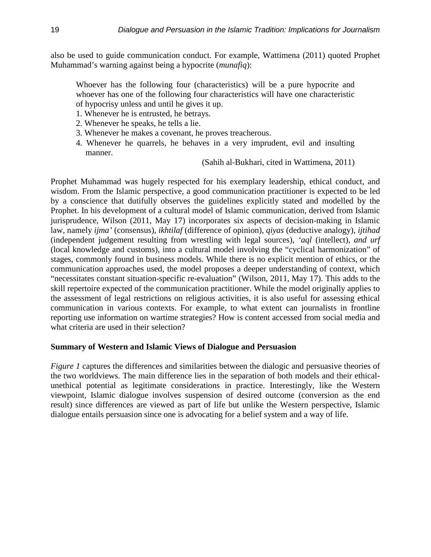also be used to guide communication conduct. For example, Wattimena (2011) quoted Prophet Muhammad's warning against being a hypocrite (*munafiq*):

Whoever has the following four (characteristics) will be a pure hypocrite and whoever has one of the following four characteristics will have one characteristic of hypocrisy unless and until he gives it up.

- 1. Whenever he is entrusted, he betrays.
- 2. Whenever he speaks, he tells a lie.
- 3. Whenever he makes a covenant, he proves treacherous.
- 4. Whenever he quarrels, he behaves in a very imprudent, evil and insulting manner.

(Sahih al-Bukhari, cited in Wattimena, 2011)

Prophet Muhammad was hugely respected for his exemplary leadership, ethical conduct, and wisdom. From the Islamic perspective, a good communication practitioner is expected to be led by a conscience that dutifully observes the guidelines explicitly stated and modelled by the Prophet. In his development of a cultural model of Islamic communication, derived from Islamic jurisprudence, Wilson (2011, May 17) incorporates six aspects of decision-making in Islamic law, namely *ijma'* (consensus), *ikhtilaf* (difference of opinion), *qiyas* (deductive analogy), *ijtihad*  (independent judgement resulting from wrestling with legal sources), *'aql* (intellect), *and urf*  (local knowledge and customs), into a cultural model involving the "cyclical harmonization" of stages, commonly found in business models. While there is no explicit mention of ethics, or the communication approaches used, the model proposes a deeper understanding of context, which "necessitates constant situation-specific re-evaluation" (Wilson, 2011, May 17). This adds to the skill repertoire expected of the communication practitioner. While the model originally applies to the assessment of legal restrictions on religious activities, it is also useful for assessing ethical communication in various contexts. For example, to what extent can journalists in frontline reporting use information on wartime strategies? How is content accessed from social media and what criteria are used in their selection?

#### **Summary of Western and Islamic Views of Dialogue and Persuasion**

*Figure 1* captures the differences and similarities between the dialogic and persuasive theories of the two worldviews. The main difference lies in the separation of both models and their ethicalunethical potential as legitimate considerations in practice. Interestingly, like the Western viewpoint, Islamic dialogue involves suspension of desired outcome (conversion as the end result) since differences are viewed as part of life but unlike the Western perspective, Islamic dialogue entails persuasion since one is advocating for a belief system and a way of life.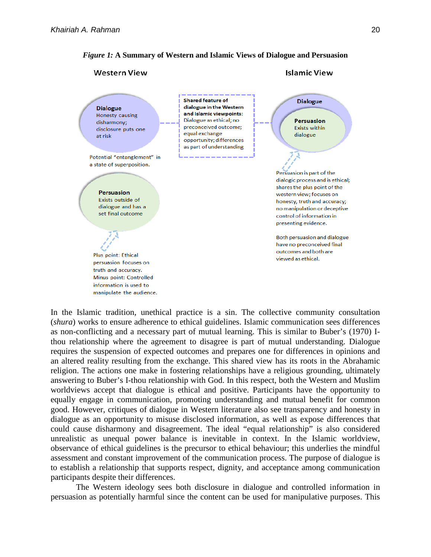



In the Islamic tradition, unethical practice is a sin. The collective community consultation (*shura*) works to ensure adherence to ethical guidelines. Islamic communication sees differences as non-conflicting and a necessary part of mutual learning. This is similar to Buber's (1970) Ithou relationship where the agreement to disagree is part of mutual understanding. Dialogue requires the suspension of expected outcomes and prepares one for differences in opinions and an altered reality resulting from the exchange. This shared view has its roots in the Abrahamic religion. The actions one make in fostering relationships have a religious grounding, ultimately answering to Buber's I-thou relationship with God. In this respect, both the Western and Muslim worldviews accept that dialogue is ethical and positive. Participants have the opportunity to equally engage in communication, promoting understanding and mutual benefit for common good. However, critiques of dialogue in Western literature also see transparency and honesty in dialogue as an opportunity to misuse disclosed information, as well as expose differences that could cause disharmony and disagreement. The ideal "equal relationship" is also considered unrealistic as unequal power balance is inevitable in context. In the Islamic worldview, observance of ethical guidelines is the precursor to ethical behaviour; this underlies the mindful assessment and constant improvement of the communication process. The purpose of dialogue is to establish a relationship that supports respect, dignity, and acceptance among communication participants despite their differences.

The Western ideology sees both disclosure in dialogue and controlled information in persuasion as potentially harmful since the content can be used for manipulative purposes. This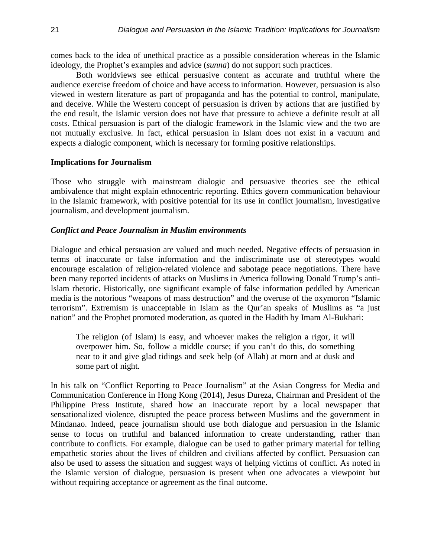comes back to the idea of unethical practice as a possible consideration whereas in the Islamic ideology, the Prophet's examples and advice (*sunna*) do not support such practices.

Both worldviews see ethical persuasive content as accurate and truthful where the audience exercise freedom of choice and have access to information. However, persuasion is also viewed in western literature as part of propaganda and has the potential to control, manipulate, and deceive. While the Western concept of persuasion is driven by actions that are justified by the end result, the Islamic version does not have that pressure to achieve a definite result at all costs. Ethical persuasion is part of the dialogic framework in the Islamic view and the two are not mutually exclusive. In fact, ethical persuasion in Islam does not exist in a vacuum and expects a dialogic component, which is necessary for forming positive relationships.

#### **Implications for Journalism**

Those who struggle with mainstream dialogic and persuasive theories see the ethical ambivalence that might explain ethnocentric reporting. Ethics govern communication behaviour in the Islamic framework, with positive potential for its use in conflict journalism, investigative journalism, and development journalism.

#### *Conflict and Peace Journalism in Muslim environments*

Dialogue and ethical persuasion are valued and much needed. Negative effects of persuasion in terms of inaccurate or false information and the indiscriminate use of stereotypes would encourage escalation of religion-related violence and sabotage peace negotiations. There have been many reported incidents of attacks on Muslims in America following Donald Trump's anti-Islam rhetoric. Historically, one significant example of false information peddled by American media is the notorious "weapons of mass destruction" and the overuse of the oxymoron "Islamic terrorism". Extremism is unacceptable in Islam as the Qur'an speaks of Muslims as "a just nation" and the Prophet promoted moderation, as quoted in the Hadith by Imam Al-Bukhari:

The religion (of Islam) is easy, and whoever makes the religion a rigor, it will overpower him. So, follow a middle course; if you can't do this, do something near to it and give glad tidings and seek help (of Allah) at morn and at dusk and some part of night.

In his talk on "Conflict Reporting to Peace Journalism" at the Asian Congress for Media and Communication Conference in Hong Kong (2014), Jesus Dureza, Chairman and President of the Philippine Press Institute, shared how an inaccurate report by a local newspaper that sensationalized violence, disrupted the peace process between Muslims and the government in Mindanao. Indeed, peace journalism should use both dialogue and persuasion in the Islamic sense to focus on truthful and balanced information to create understanding, rather than contribute to conflicts. For example, dialogue can be used to gather primary material for telling empathetic stories about the lives of children and civilians affected by conflict. Persuasion can also be used to assess the situation and suggest ways of helping victims of conflict. As noted in the Islamic version of dialogue, persuasion is present when one advocates a viewpoint but without requiring acceptance or agreement as the final outcome.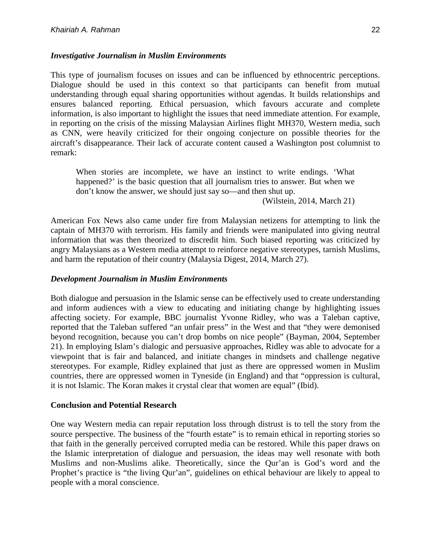## *Investigative Journalism in Muslim Environments*

This type of journalism focuses on issues and can be influenced by ethnocentric perceptions. Dialogue should be used in this context so that participants can benefit from mutual understanding through equal sharing opportunities without agendas. It builds relationships and ensures balanced reporting. Ethical persuasion, which favours accurate and complete information, is also important to highlight the issues that need immediate attention. For example, in reporting on the crisis of the missing Malaysian Airlines flight MH370, Western media, such as CNN, were heavily criticized for their ongoing conjecture on possible theories for the aircraft's disappearance. Their lack of accurate content caused a Washington post columnist to remark:

When stories are incomplete, we have an instinct to write endings. 'What happened?' is the basic question that all journalism tries to answer. But when we don't know the answer, we should just say so—and then shut up.

(Wilstein, 2014, March 21)

American Fox News also came under fire from Malaysian netizens for attempting to link the captain of MH370 with terrorism. His family and friends were manipulated into giving neutral information that was then theorized to discredit him. Such biased reporting was criticized by angry Malaysians as a Western media attempt to reinforce negative stereotypes, tarnish Muslims, and harm the reputation of their country (Malaysia Digest, 2014, March 27).

## *Development Journalism in Muslim Environments*

Both dialogue and persuasion in the Islamic sense can be effectively used to create understanding and inform audiences with a view to educating and initiating change by highlighting issues affecting society. For example, BBC journalist Yvonne Ridley, who was a Taleban captive, reported that the Taleban suffered "an unfair press" in the West and that "they were demonised beyond recognition, because you can't drop bombs on nice people" (Bayman, 2004, September 21). In employing Islam's dialogic and persuasive approaches, Ridley was able to advocate for a viewpoint that is fair and balanced, and initiate changes in mindsets and challenge negative stereotypes. For example, Ridley explained that just as there are oppressed women in Muslim countries, there are oppressed women in Tyneside (in England) and that "oppression is cultural, it is not Islamic. The Koran makes it crystal clear that women are equal" (Ibid).

#### **Conclusion and Potential Research**

One way Western media can repair reputation loss through distrust is to tell the story from the source perspective. The business of the "fourth estate" is to remain ethical in reporting stories so that faith in the generally perceived corrupted media can be restored. While this paper draws on the Islamic interpretation of dialogue and persuasion, the ideas may well resonate with both Muslims and non-Muslims alike. Theoretically, since the Qur'an is God's word and the Prophet's practice is "the living Qur'an", guidelines on ethical behaviour are likely to appeal to people with a moral conscience.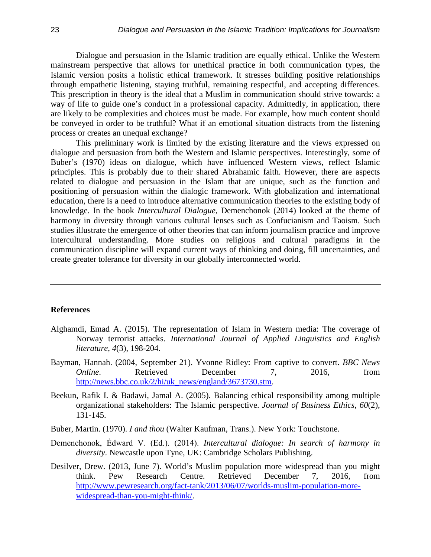Dialogue and persuasion in the Islamic tradition are equally ethical. Unlike the Western mainstream perspective that allows for unethical practice in both communication types, the Islamic version posits a holistic ethical framework. It stresses building positive relationships through empathetic listening, staying truthful, remaining respectful, and accepting differences. This prescription in theory is the ideal that a Muslim in communication should strive towards: a way of life to guide one's conduct in a professional capacity. Admittedly, in application, there are likely to be complexities and choices must be made. For example, how much content should be conveyed in order to be truthful? What if an emotional situation distracts from the listening process or creates an unequal exchange?

This preliminary work is limited by the existing literature and the views expressed on dialogue and persuasion from both the Western and Islamic perspectives. Interestingly, some of Buber's (1970) ideas on dialogue, which have influenced Western views, reflect Islamic principles. This is probably due to their shared Abrahamic faith. However, there are aspects related to dialogue and persuasion in the Islam that are unique, such as the function and positioning of persuasion within the dialogic framework. With globalization and international education, there is a need to introduce alternative communication theories to the existing body of knowledge. In the book *Intercultural Dialogue*, Demenchonok (2014) looked at the theme of harmony in diversity through various cultural lenses such as Confucianism and Taoism. Such studies illustrate the emergence of other theories that can inform journalism practice and improve intercultural understanding. More studies on religious and cultural paradigms in the communication discipline will expand current ways of thinking and doing, fill uncertainties, and create greater tolerance for diversity in our globally interconnected world.

#### **References**

- Alghamdi, Emad A. (2015). The representation of Islam in Western media: The coverage of Norway terrorist attacks. *International Journal of Applied Linguistics and English literature*, *4*(3), 198-204.
- Bayman, Hannah. (2004, September 21). Yvonne Ridley: From captive to convert. *BBC News Online*. Retrieved December 7, 2016, from [http://news.bbc.co.uk/2/hi/uk\\_news/england/3673730.stm.](http://news.bbc.co.uk/2/hi/uk_news/england/3673730.stm)
- Beekun, Rafik I. & Badawi, Jamal A. (2005). Balancing ethical responsibility among multiple organizational stakeholders: The Islamic perspective. *Journal of Business Ethics*, *60*(2), 131-145.
- Buber, Martin. (1970). *I and thou* (Walter Kaufman, Trans.). New York: Touchstone.
- Demenchonok, Ėdward V. (Ed.). (2014). *Intercultural dialogue: In search of harmony in diversity*. Newcastle upon Tyne, UK: Cambridge Scholars Publishing.
- Desilver, Drew. (2013, June 7). World's Muslim population more widespread than you might think. Pew Research Centre. Retrieved December 7, 2016, from [http://www.pewresearch.org/fact-tank/2013/06/07/worlds-muslim-population-more](http://www.pewresearch.org/fact-tank/2013/06/07/worlds-muslim-population-more-widespread-than-you-might-think/)[widespread-than-you-might-think/.](http://www.pewresearch.org/fact-tank/2013/06/07/worlds-muslim-population-more-widespread-than-you-might-think/)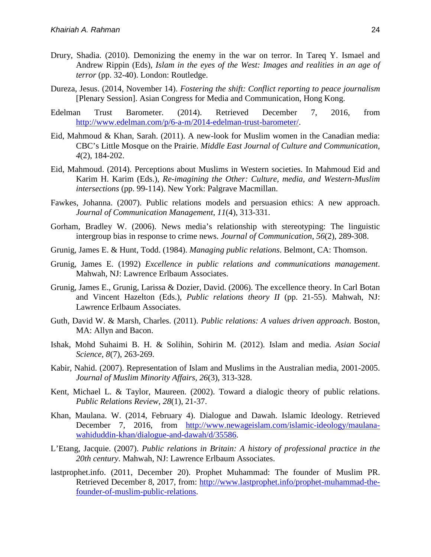- Drury, Shadia. (2010). Demonizing the enemy in the war on terror. In Tareq Y. Ismael and Andrew Rippin (Eds), *Islam in the eyes of the West: Images and realities in an age of terror* (pp. 32-40). London: Routledge.
- Dureza, Jesus. (2014, November 14). *Fostering the shift: Conflict reporting to peace journalism* [Plenary Session]. Asian Congress for Media and Communication, Hong Kong.
- Edelman Trust Barometer. (2014). Retrieved December 7, 2016, from [http://www.edelman.com/p/6-a-m/2014-edelman-trust-barometer/.](http://www.edelman.com/p/6-a-m/2014-edelman-trust-barometer/)
- Eid, Mahmoud & Khan, Sarah. (2011). A new-look for Muslim women in the Canadian media: CBC's Little Mosque on the Prairie. *Middle East Journal of Culture and Communication*, *4*(2), 184-202.
- Eid, Mahmoud. (2014). Perceptions about Muslims in Western societies. In Mahmoud Eid and Karim H. Karim (Eds.), *Re-imagining the Other: Culture, media, and Western-Muslim intersections* (pp. 99-114). New York: Palgrave Macmillan.
- Fawkes, Johanna. (2007). Public relations models and persuasion ethics: A new approach. *Journal of Communication Management*, *11*(4), 313-331.
- Gorham, Bradley W. (2006). News media's relationship with stereotyping: The linguistic intergroup bias in response to crime news. *Journal of Communication*, *56*(2), 289-308.
- Grunig, James E. & Hunt, Todd. (1984). *Managing public relations*. Belmont, CA: Thomson.
- Grunig, James E. (1992) *Excellence in public relations and communications management*. Mahwah, NJ: Lawrence Erlbaum Associates.
- Grunig, James E., Grunig, Larissa & Dozier, David. (2006). The excellence theory. In Carl Botan and Vincent Hazelton (Eds.), *Public relations theory II* (pp. 21-55). Mahwah, NJ: Lawrence Erlbaum Associates.
- Guth, David W. & Marsh, Charles. (2011). *Public relations: A values driven approach*. Boston, MA: Allyn and Bacon.
- Ishak, Mohd Suhaimi B. H. & Solihin, Sohirin M. (2012). Islam and media. *Asian Social Science*, *8*(7), 263-269.
- Kabir, Nahid. (2007). Representation of Islam and Muslims in the Australian media, 2001-2005. *Journal of Muslim Minority Affairs*, *26*(3), 313-328.
- Kent, Michael L. & Taylor, Maureen. (2002). Toward a dialogic theory of public relations. *Public Relations Review*, *28*(1), 21-37.
- Khan, Maulana. W. (2014, February 4). Dialogue and Dawah. Islamic Ideology. Retrieved December 7, 2016, from [http://www.newageislam.com/islamic-ideology/maulana](http://www.newageislam.com/islamic-ideology/maulana-wahiduddin-khan/dialogue-and-dawah/d/35586)[wahiduddin-khan/dialogue-and-dawah/d/35586.](http://www.newageislam.com/islamic-ideology/maulana-wahiduddin-khan/dialogue-and-dawah/d/35586)
- L'Etang, Jacquie. (2007). *Public relations in Britain: A history of professional practice in the 20th century*. Mahwah, NJ: Lawrence Erlbaum Associates.
- lastprophet.info. (2011, December 20). Prophet Muhammad: The founder of Muslim PR. Retrieved December 8, 2017, from: [http://www.lastprophet.info/prophet-muhammad-the](http://www.lastprophet.info/prophet-muhammad-the-founder-of-muslim-public-relations)[founder-of-muslim-public-relations.](http://www.lastprophet.info/prophet-muhammad-the-founder-of-muslim-public-relations)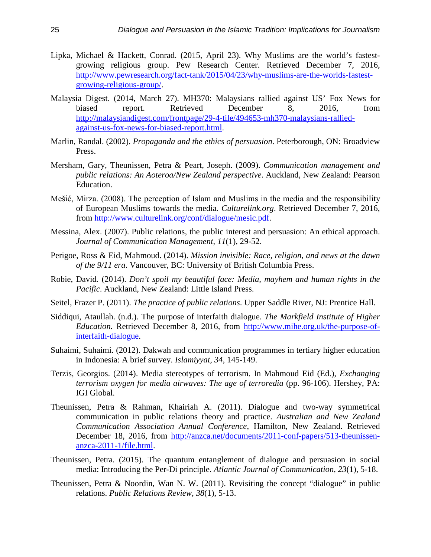- Lipka, Michael & Hackett, Conrad. (2015, April 23). Why Muslims are the world's fastestgrowing religious group. Pew Research Center. Retrieved December 7, 2016, [http://www.pewresearch.org/fact-tank/2015/04/23/why-muslims-are-the-worlds-fastest](http://www.pewresearch.org/fact-tank/2015/04/23/why-muslims-are-the-worlds-fastest-growing-religious-group/)[growing-religious-group/.](http://www.pewresearch.org/fact-tank/2015/04/23/why-muslims-are-the-worlds-fastest-growing-religious-group/)
- Malaysia Digest. (2014, March 27). MH370: Malaysians rallied against US' Fox News for biased report. Retrieved December 8, 2016, from [http://malaysiandigest.com/frontpage/29-4-tile/494653-mh370-malaysians-rallied](http://malaysiandigest.com/frontpage/29-4-tile/494653-mh370-malaysians-rallied-against-us-fox-news-for-biased-report.html)[against-us-fox-news-for-biased-report.html.](http://malaysiandigest.com/frontpage/29-4-tile/494653-mh370-malaysians-rallied-against-us-fox-news-for-biased-report.html)
- Marlin, Randal. (2002). *Propaganda and the ethics of persuasion*. Peterborough, ON: Broadview Press.
- Mersham, Gary, Theunissen, Petra & Peart, Joseph. (2009). *Communication management and public relations: An Aoteroa/New Zealand perspective*. Auckland, New Zealand: Pearson Education.
- Mešić, Mirza. (2008). The perception of Islam and Muslims in the media and the responsibility of European Muslims towards the media. *Culturelink.org*. Retrieved December 7, 2016, from [http://www.culturelink.org/conf/dialogue/mesic.pdf.](http://www.culturelink.org/conf/dialogue/mesic.pdf)
- Messina, Alex. (2007). Public relations, the public interest and persuasion: An ethical approach. *Journal of Communication Management*, *11*(1), 29-52.
- Perigoe, Ross & Eid, Mahmoud. (2014). *Mission invisible: Race, religion, and news at the dawn of the 9/11 era*. Vancouver, BC: University of British Columbia Press.
- Robie, David. (2014). *Don't spoil my beautiful face: Media, mayhem and human rights in the Pacific*. Auckland, New Zealand: Little Island Press.
- Seitel, Frazer P. (2011). *The practice of public relations*. Upper Saddle River, NJ: Prentice Hall.
- Siddiqui, Ataullah. (n.d.). The purpose of interfaith dialogue. *The Markfield Institute of Higher Education.* Retrieved December 8, 2016, from [http://www.mihe.org.uk/the-purpose-of](http://www.mihe.org.uk/the-purpose-of-interfaith-dialogue)[interfaith-dialogue.](http://www.mihe.org.uk/the-purpose-of-interfaith-dialogue)
- Suhaimi, Suhaimi. (2012). Dakwah and communication programmes in tertiary higher education in Indonesia: A brief survey. *Islamiyyat*, *34*, 145-149.
- Terzis, Georgios. (2014). Media stereotypes of terrorism. In Mahmoud Eid (Ed.), *Exchanging terrorism oxygen for media airwaves: The age of terroredia* (pp. 96-106). Hershey, PA: IGI Global.
- Theunissen, Petra & Rahman, Khairiah A. (2011). Dialogue and two-way symmetrical communication in public relations theory and practice. *Australian and New Zealand Communication Association Annual Conference*, Hamilton, New Zealand. Retrieved December 18, 2016, from [http://anzca.net/documents/2011-conf-papers/513-theunissen](http://anzca.net/documents/2011-conf-papers/513-theunissen-anzca-2011-1/file.html)[anzca-2011-1/file.html.](http://anzca.net/documents/2011-conf-papers/513-theunissen-anzca-2011-1/file.html)
- Theunissen, Petra. (2015). The quantum entanglement of dialogue and persuasion in social media: Introducing the Per-Di principle. *Atlantic Journal of Communication*, *23*(1), 5-18.
- Theunissen, Petra & Noordin, Wan N. W. (2011). Revisiting the concept "dialogue" in public relations. *Public Relations Review*, *38*(1), 5-13.